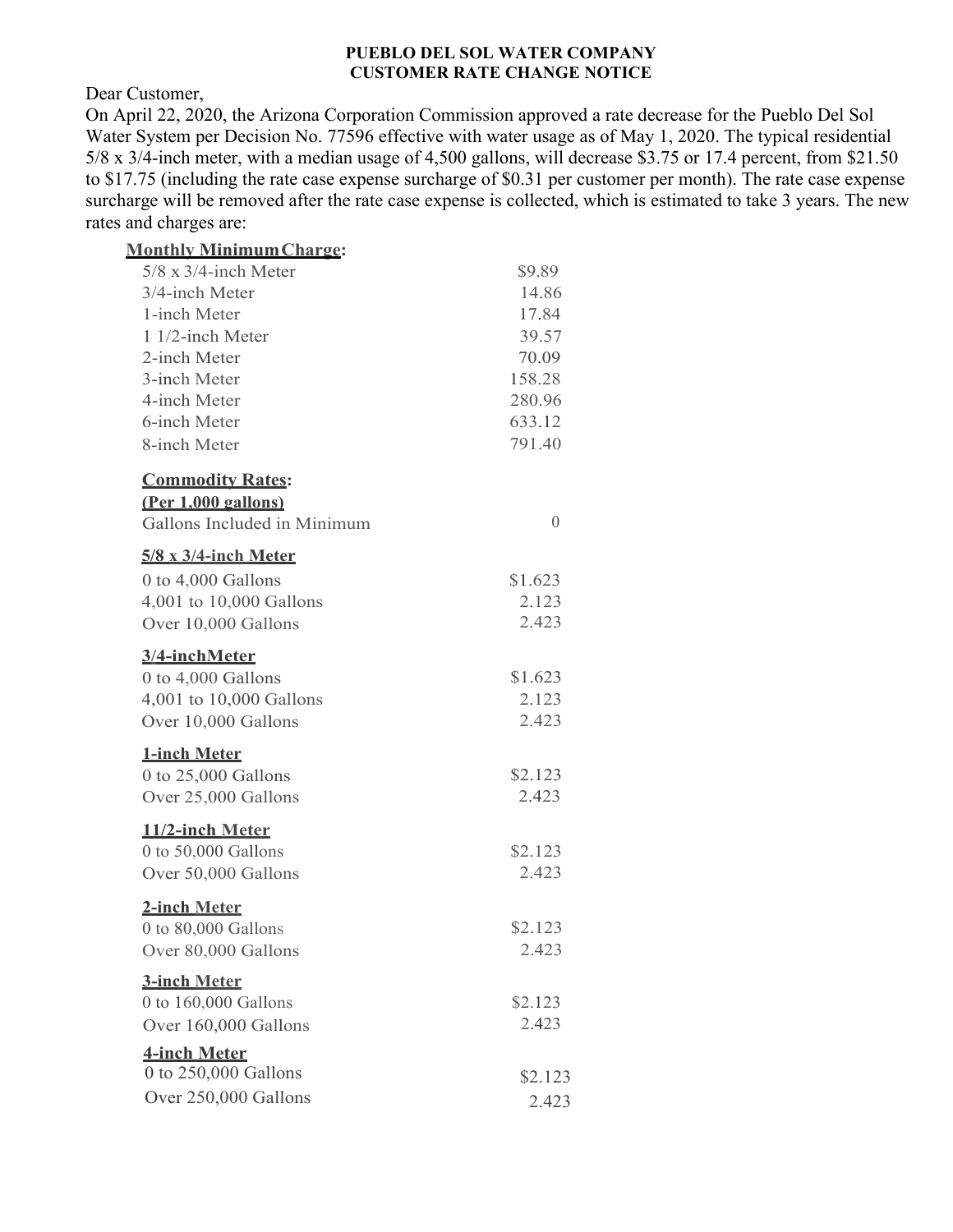## **PUEBLO DEL SOL WATER COMPANY CUSTOMER RATE CHANGE NOTICE**

Dear Customer,

On April 22, 2020, the Arizona Corporation Commission approved a rate decrease for the Pueblo Del Sol Water System per Decision No. 77596 effective with water usage as of May 1, 2020. The typical residential 5/8 x 3/4-inch meter, with a median usage of 4,500 gallons, will decrease \$3.75 or 17.4 percent, from \$21.50 to \$17.75 (including the rate case expense surcharge of \$0.31 per customer per month). The rate case expense surcharge will be removed after the rate case expense is collected, which is estimated to take 3 years. The new rates and charges are:

| <b>Monthly Minimum Charge:</b>                                                        |                           |
|---------------------------------------------------------------------------------------|---------------------------|
| $5/8 \times 3/4$ -inch Meter                                                          | \$9.89                    |
| 3/4-inch Meter                                                                        | 14.86                     |
| 1-inch Meter                                                                          | 17.84                     |
| 1 1/2-inch Meter                                                                      | 39.57                     |
| 2-inch Meter                                                                          | 70.09                     |
| 3-inch Meter                                                                          | 158.28                    |
| 4-inch Meter                                                                          | 280.96                    |
| 6-inch Meter                                                                          | 633.12                    |
| 8-inch Meter                                                                          | 791.40                    |
| <b>Commodity Rates:</b><br>(Per 1.000 gallons)<br>Gallons Included in Minimum         | $\Omega$                  |
| $5/8 \times 3/4$ -inch Meter                                                          |                           |
| 0 to 4,000 Gallons                                                                    | \$1.623                   |
| 4,001 to 10,000 Gallons                                                               | 2.123                     |
| Over 10,000 Gallons                                                                   | 2.423                     |
| 3/4-inchMeter<br>0 to 4,000 Gallons<br>4,001 to 10,000 Gallons<br>Over 10,000 Gallons | \$1.623<br>2.123<br>2.423 |
| <b>1-inch Meter</b><br>0 to 25,000 Gallons                                            | \$2.123                   |
| Over 25,000 Gallons                                                                   | 2.423                     |
| 11/2-inch Meter<br>0 to 50,000 Gallons                                                | \$2.123                   |
| Over 50,000 Gallons                                                                   | 2.423                     |
| 2-inch Meter<br>0 to 80,000 Gallons<br>Over 80,000 Gallons                            | \$2.123<br>2.423          |
| <b>3-inch Meter</b>                                                                   |                           |
| 0 to 160,000 Gallons                                                                  | \$2.123                   |
| Over 160,000 Gallons                                                                  | 2.423                     |
| <b>4-inch Meter</b>                                                                   |                           |
| 0 to 250,000 Gallons                                                                  | \$2.123                   |
| Over 250,000 Gallons                                                                  |                           |
|                                                                                       | 2.423                     |